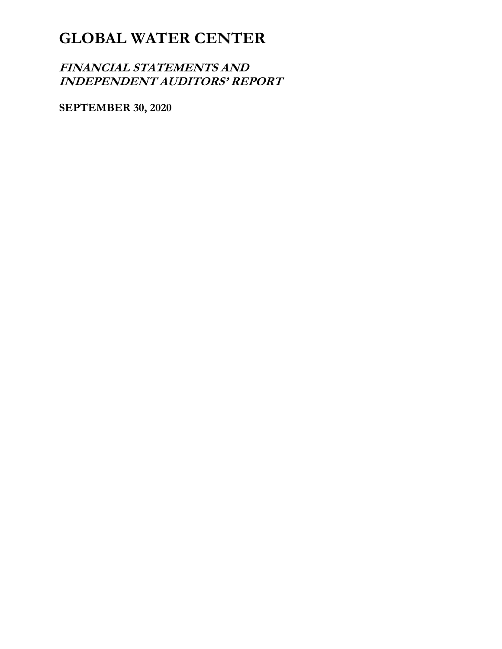# **FINANCIAL STATEMENTS AND INDEPENDENT AUDITORS' REPORT**

**SEPTEMBER 30, 2020**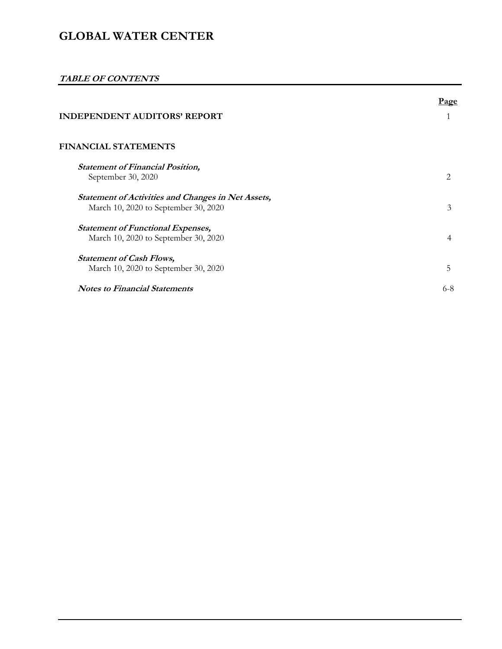### **TABLE OF CONTENTS**

| <b>INDEPENDENT AUDITORS' REPORT</b>                                                               |     |
|---------------------------------------------------------------------------------------------------|-----|
| <b>FINANCIAL STATEMENTS</b>                                                                       |     |
| <b>Statement of Financial Position,</b><br>September 30, 2020                                     |     |
| <b>Statement of Activities and Changes in Net Assets,</b><br>March 10, 2020 to September 30, 2020 | 3   |
| <b>Statement of Functional Expenses,</b><br>March 10, 2020 to September 30, 2020                  | 4   |
| <b>Statement of Cash Flows,</b><br>March 10, 2020 to September 30, 2020                           | 5   |
| <b>Notes to Financial Statements</b>                                                              | 6-8 |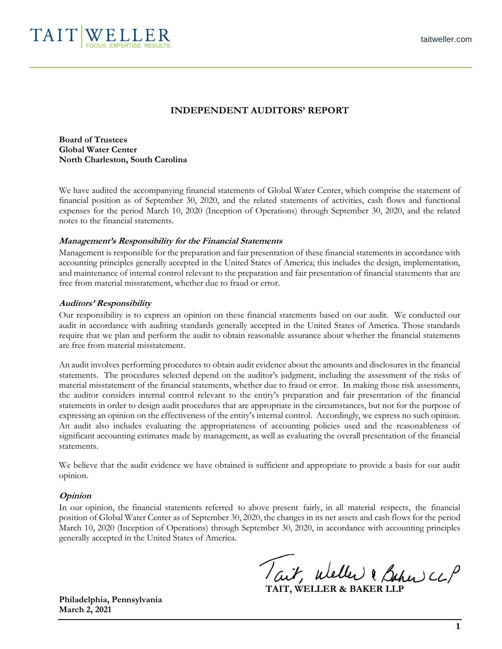

### **INDEPENDENT AUDITORS' REPORT**

**Board of Trustees Global Water Center North Charleston, South Carolina**

We have audited the accompanying financial statements of Global Water Center, which comprise the statement of financial position as of September 30, 2020, and the related statements of activities, cash flows and functional expenses for the period March 10, 2020 (Inception of Operations) through September 30, 2020, and the related notes to the financial statements.

#### **Management's Responsibility for the Financial Statements**

Management is responsible for the preparation and fair presentation of these financial statements in accordance with accounting principles generally accepted in the United States of America; this includes the design, implementation, and maintenance of internal control relevant to the preparation and fair presentation of financial statements that are free from material misstatement, whether due to fraud or error.

#### **Auditors' Responsibility**

Our responsibility is to express an opinion on these financial statements based on our audit. We conducted our audit in accordance with auditing standards generally accepted in the United States of America. Those standards require that we plan and perform the audit to obtain reasonable assurance about whether the financial statements are free from material misstatement.

An audit involves performing procedures to obtain audit evidence about the amounts and disclosures in the financial statements. The procedures selected depend on the auditor's judgment, including the assessment of the risks of material misstatement of the financial statements, whether due to fraud or error. In making those risk assessments, the auditor considers internal control relevant to the entity's preparation and fair presentation of the financial statements in order to design audit procedures that are appropriate in the circumstances, but not for the purpose of expressing an opinion on the effectiveness of the entity's internal control. Accordingly, we express no such opinion. An audit also includes evaluating the appropriateness of accounting policies used and the reasonableness of significant accounting estimates made by management, as well as evaluating the overall presentation of the financial statements.

We believe that the audit evidence we have obtained is sufficient and appropriate to provide a basis for our audit opinion.

#### **Opinion**

In our opinion, the financial statements referred to above present fairly, in all material respects, the financial position of Global Water Center as of September 30, 2020, the changes in its net assets and cash flows for the period March 10, 2020 (Inception of Operations) through September 30, 2020, in accordance with accounting principles generally accepted in the United States of America.

Weller & Baher CCP

**TAIT, WELLER & BAKER LLP**

**Philadelphia, Pennsylvania March 2, 2021**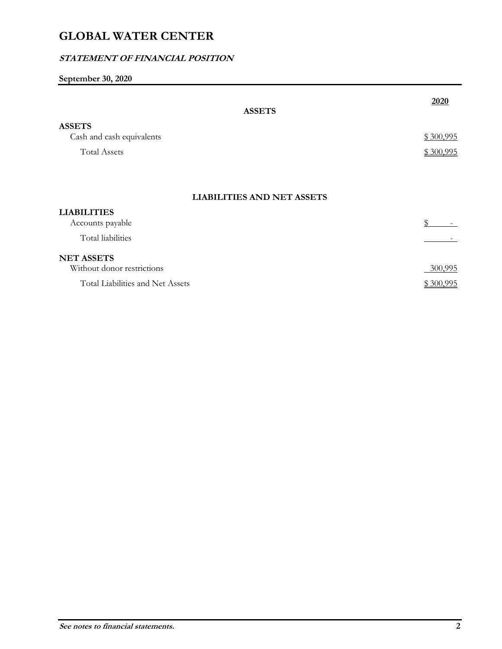### **STATEMENT OF FINANCIAL POSITION**

### **September 30, 2020**

|                           | <b>ASSETS</b> | 2020      |
|---------------------------|---------------|-----------|
| <b>ASSETS</b>             |               |           |
| Cash and cash equivalents |               | \$300,995 |
| <b>Total Assets</b>       |               | \$300,995 |
|                           |               |           |
|                           |               |           |

#### **LIABILITIES AND NET ASSETS**

| <b>LIABILITIES</b>               |           |
|----------------------------------|-----------|
| Accounts payable                 |           |
| Total liabilities                |           |
| <b>NET ASSETS</b>                |           |
| Without donor restrictions       | 300,995   |
| Total Liabilities and Net Assets | \$300.995 |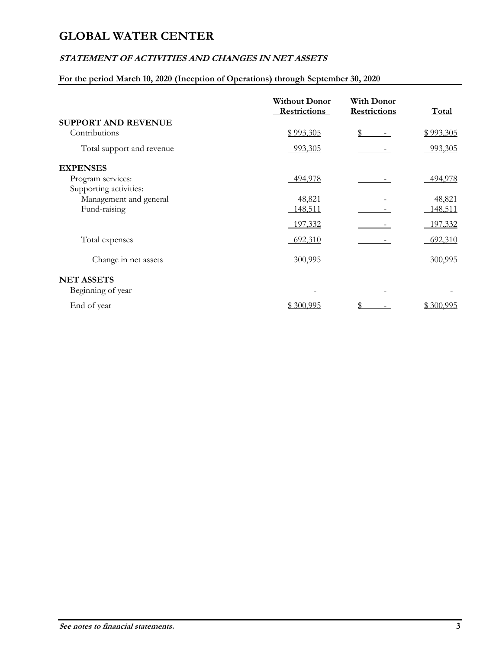### **STATEMENT OF ACTIVITIES AND CHANGES IN NET ASSETS**

### **For the period March 10, 2020 (Inception of Operations) through September 30, 2020**

|                            | <b>Without Donor</b><br><b>Restrictions</b> | <b>With Donor</b><br>Restrictions | Total     |
|----------------------------|---------------------------------------------|-----------------------------------|-----------|
| <b>SUPPORT AND REVENUE</b> |                                             |                                   |           |
| Contributions              | \$993,305                                   | \$                                | \$993,305 |
| Total support and revenue  | 993,305                                     |                                   | 993,305   |
| <b>EXPENSES</b>            |                                             |                                   |           |
| Program services:          | 494,978                                     |                                   | 494,978   |
| Supporting activities:     |                                             |                                   |           |
| Management and general     | 48,821                                      |                                   | 48,821    |
| Fund-raising               | 148,511                                     |                                   | 148,511   |
|                            | 197,332                                     |                                   | 197,332   |
| Total expenses             | 692,310                                     |                                   | 692,310   |
| Change in net assets       | 300,995                                     |                                   | 300,995   |
| <b>NET ASSETS</b>          |                                             |                                   |           |
| Beginning of year          |                                             |                                   |           |
| End of year                | <u>\$300,995</u>                            |                                   | \$300,995 |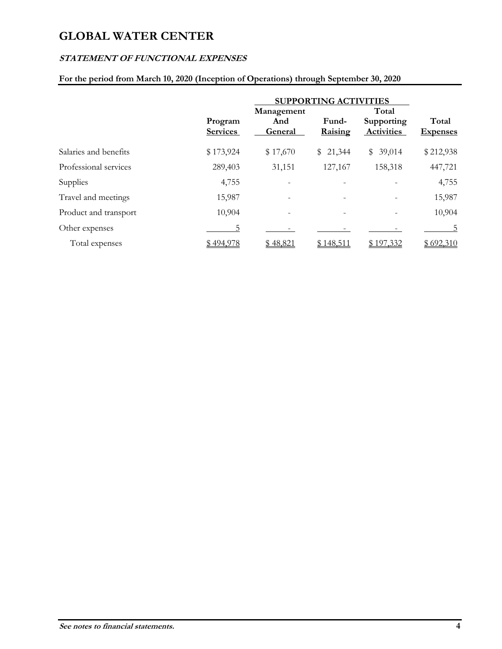# **STATEMENT OF FUNCTIONAL EXPENSES**

### **For the period from March 10, 2020 (Inception of Operations) through September 30, 2020**

|                       |                            |                              | <b>SUPPORTING ACTIVITIES</b> |                                          |                          |
|-----------------------|----------------------------|------------------------------|------------------------------|------------------------------------------|--------------------------|
|                       | Program<br><b>Services</b> | Management<br>And<br>General | Fund-<br>Raising             | Total<br>Supporting<br><b>Activities</b> | Total<br><b>Expenses</b> |
| Salaries and benefits | \$173,924                  | \$17,670                     | 21,344<br>$\mathbb{S}^-$     | \$39,014                                 | \$212,938                |
| Professional services | 289,403                    | 31,151                       | 127,167                      | 158,318                                  | 447,721                  |
| Supplies              | 4,755                      |                              |                              |                                          | 4,755                    |
| Travel and meetings   | 15,987                     |                              |                              |                                          | 15,987                   |
| Product and transport | 10,904                     |                              |                              |                                          | 10,904                   |
| Other expenses        | 5                          |                              |                              |                                          | 5                        |
| Total expenses        | \$494,978                  | \$48,821                     | \$148,511                    | \$197,332                                | \$692,310                |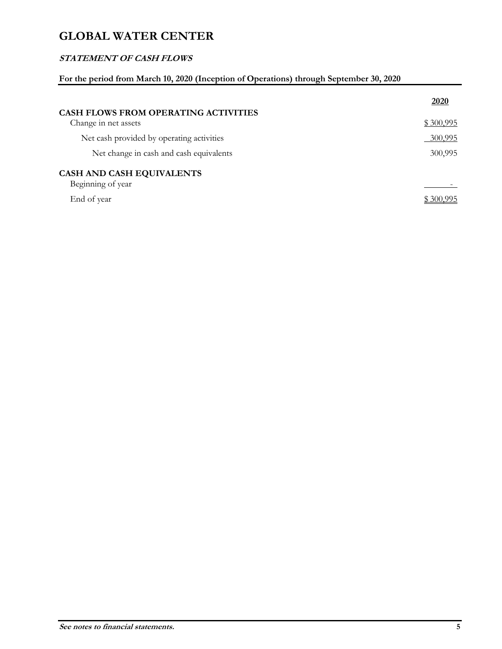# **STATEMENT OF CASH FLOWS**

### **For the period from March 10, 2020 (Inception of Operations) through September 30, 2020**

|                                                                     | 2020      |
|---------------------------------------------------------------------|-----------|
| <b>CASH FLOWS FROM OPERATING ACTIVITIES</b><br>Change in net assets | \$300,995 |
| Net cash provided by operating activities                           | 300,995   |
| Net change in cash and cash equivalents                             | 300,995   |
| <b>CASH AND CASH EQUIVALENTS</b><br>Beginning of year               |           |
| End of year                                                         |           |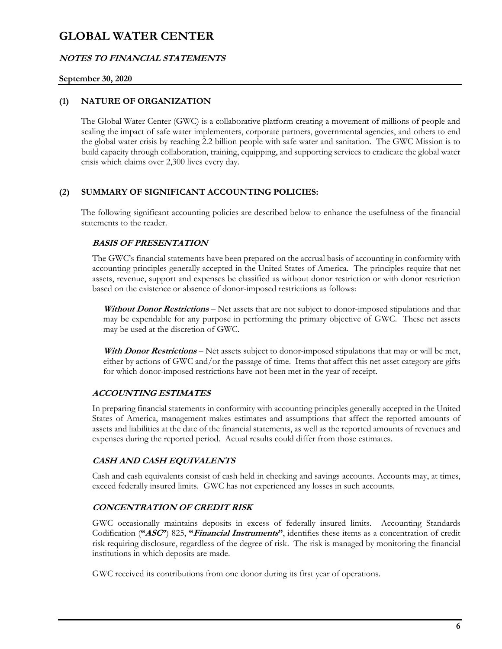#### **NOTES TO FINANCIAL STATEMENTS**

**September 30, 2020**

#### **(1) NATURE OF ORGANIZATION**

The Global Water Center (GWC) is a collaborative platform creating a movement of millions of people and scaling the impact of safe water implementers, corporate partners, governmental agencies, and others to end the global water crisis by reaching 2.2 billion people with safe water and sanitation. The GWC Mission is to build capacity through collaboration, training, equipping, and supporting services to eradicate the global water crisis which claims over 2,300 lives every day.

#### **(2) SUMMARY OF SIGNIFICANT ACCOUNTING POLICIES:**

The following significant accounting policies are described below to enhance the usefulness of the financial statements to the reader.

#### **BASIS OF PRESENTATION**

The GWC's financial statements have been prepared on the accrual basis of accounting in conformity with accounting principles generally accepted in the United States of America. The principles require that net assets, revenue, support and expenses be classified as without donor restriction or with donor restriction based on the existence or absence of donor-imposed restrictions as follows:

**Without Donor Restrictions** – Net assets that are not subject to donor-imposed stipulations and that may be expendable for any purpose in performing the primary objective of GWC. These net assets may be used at the discretion of GWC.

**With Donor Restrictions** – Net assets subject to donor-imposed stipulations that may or will be met, either by actions of GWC and/or the passage of time. Items that affect this net asset category are gifts for which donor-imposed restrictions have not been met in the year of receipt.

#### **ACCOUNTING ESTIMATES**

In preparing financial statements in conformity with accounting principles generally accepted in the United States of America, management makes estimates and assumptions that affect the reported amounts of assets and liabilities at the date of the financial statements, as well as the reported amounts of revenues and expenses during the reported period. Actual results could differ from those estimates.

#### **CASH AND CASH EQUIVALENTS**

Cash and cash equivalents consist of cash held in checking and savings accounts. Accounts may, at times, exceed federally insured limits. GWC has not experienced any losses in such accounts.

#### **CONCENTRATION OF CREDIT RISK**

GWC occasionally maintains deposits in excess of federally insured limits. Accounting Standards Codification (**"ASC"**) 825, **"Financial Instruments"**, identifies these items as a concentration of credit risk requiring disclosure, regardless of the degree of risk. The risk is managed by monitoring the financial institutions in which deposits are made.

GWC received its contributions from one donor during its first year of operations.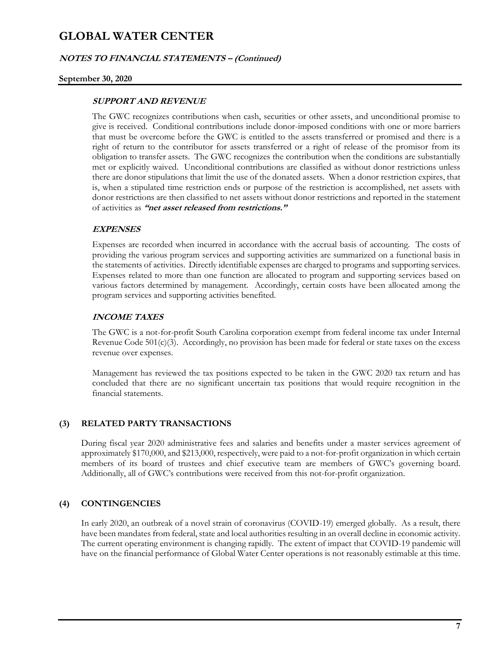#### **NOTES TO FINANCIAL STATEMENTS – (Continued)**

#### **September 30, 2020**

#### **SUPPORT AND REVENUE**

The GWC recognizes contributions when cash, securities or other assets, and unconditional promise to give is received. Conditional contributions include donor-imposed conditions with one or more barriers that must be overcome before the GWC is entitled to the assets transferred or promised and there is a right of return to the contributor for assets transferred or a right of release of the promisor from its obligation to transfer assets. The GWC recognizes the contribution when the conditions are substantially met or explicitly waived. Unconditional contributions are classified as without donor restrictions unless there are donor stipulations that limit the use of the donated assets. When a donor restriction expires, that is, when a stipulated time restriction ends or purpose of the restriction is accomplished, net assets with donor restrictions are then classified to net assets without donor restrictions and reported in the statement of activities as **"net asset released from restrictions."**

#### **EXPENSES**

Expenses are recorded when incurred in accordance with the accrual basis of accounting. The costs of providing the various program services and supporting activities are summarized on a functional basis in the statements of activities. Directly identifiable expenses are charged to programs and supporting services. Expenses related to more than one function are allocated to program and supporting services based on various factors determined by management. Accordingly, certain costs have been allocated among the program services and supporting activities benefited.

#### **INCOME TAXES**

The GWC is a not-for-profit South Carolina corporation exempt from federal income tax under Internal Revenue Code  $501(c)(3)$ . Accordingly, no provision has been made for federal or state taxes on the excess revenue over expenses.

Management has reviewed the tax positions expected to be taken in the GWC 2020 tax return and has concluded that there are no significant uncertain tax positions that would require recognition in the financial statements.

#### **(3) RELATED PARTY TRANSACTIONS**

During fiscal year 2020 administrative fees and salaries and benefits under a master services agreement of approximately \$170,000, and \$213,000, respectively, were paid to a not-for-profit organization in which certain members of its board of trustees and chief executive team are members of GWC's governing board. Additionally, all of GWC's contributions were received from this not-for-profit organization.

#### **(4) CONTINGENCIES**

In early 2020, an outbreak of a novel strain of coronavirus (COVID-19) emerged globally. As a result, there have been mandates from federal, state and local authorities resulting in an overall decline in economic activity. The current operating environment is changing rapidly. The extent of impact that COVID-19 pandemic will have on the financial performance of Global Water Center operations is not reasonably estimable at this time.